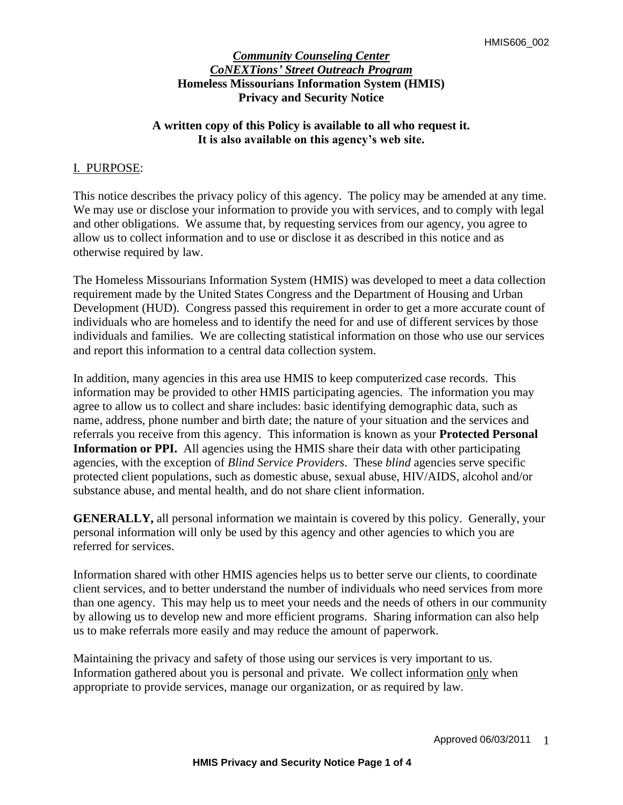## **A written copy of this Policy is available to all who request it. It is also available on this agency's web site.**

### I. PURPOSE:

This notice describes the privacy policy of this agency. The policy may be amended at any time. We may use or disclose your information to provide you with services, and to comply with legal and other obligations. We assume that, by requesting services from our agency, you agree to allow us to collect information and to use or disclose it as described in this notice and as otherwise required by law.

The Homeless Missourians Information System (HMIS) was developed to meet a data collection requirement made by the United States Congress and the Department of Housing and Urban Development (HUD). Congress passed this requirement in order to get a more accurate count of individuals who are homeless and to identify the need for and use of different services by those individuals and families. We are collecting statistical information on those who use our services and report this information to a central data collection system.

In addition, many agencies in this area use HMIS to keep computerized case records. This information may be provided to other HMIS participating agencies. The information you may agree to allow us to collect and share includes: basic identifying demographic data, such as name, address, phone number and birth date; the nature of your situation and the services and referrals you receive from this agency. This information is known as your **Protected Personal Information or PPI.** All agencies using the HMIS share their data with other participating agencies, with the exception of *Blind Service Providers*. These *blind* agencies serve specific protected client populations, such as domestic abuse, sexual abuse, HIV/AIDS, alcohol and/or substance abuse, and mental health, and do not share client information.

**GENERALLY,** all personal information we maintain is covered by this policy. Generally, your personal information will only be used by this agency and other agencies to which you are referred for services.

Information shared with other HMIS agencies helps us to better serve our clients, to coordinate client services, and to better understand the number of individuals who need services from more than one agency. This may help us to meet your needs and the needs of others in our community by allowing us to develop new and more efficient programs. Sharing information can also help us to make referrals more easily and may reduce the amount of paperwork.

Maintaining the privacy and safety of those using our services is very important to us. Information gathered about you is personal and private. We collect information only when appropriate to provide services, manage our organization, or as required by law.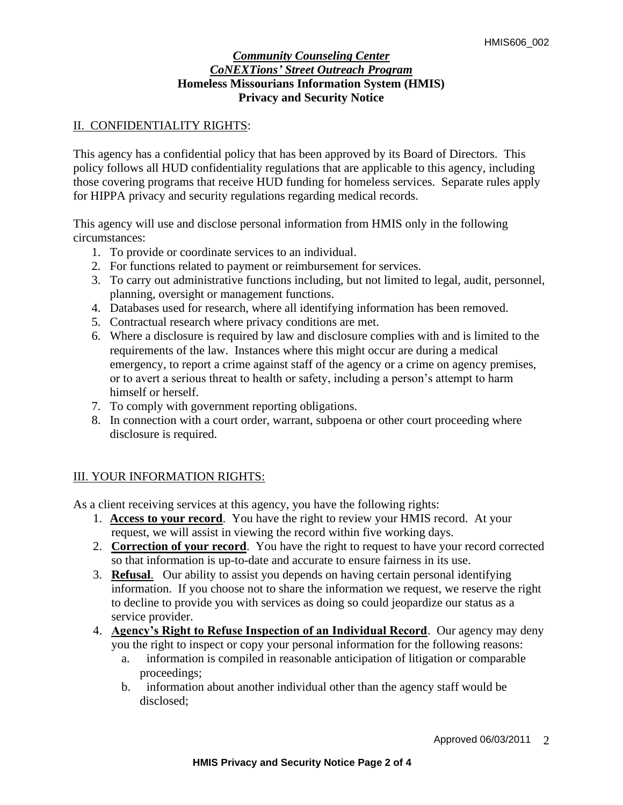# II. CONFIDENTIALITY RIGHTS:

This agency has a confidential policy that has been approved by its Board of Directors. This policy follows all HUD confidentiality regulations that are applicable to this agency, including those covering programs that receive HUD funding for homeless services. Separate rules apply for HIPPA privacy and security regulations regarding medical records.

This agency will use and disclose personal information from HMIS only in the following circumstances:

- 1. To provide or coordinate services to an individual.
- 2. For functions related to payment or reimbursement for services.
- 3. To carry out administrative functions including, but not limited to legal, audit, personnel, planning, oversight or management functions.
- 4. Databases used for research, where all identifying information has been removed.
- 5. Contractual research where privacy conditions are met.
- 6. Where a disclosure is required by law and disclosure complies with and is limited to the requirements of the law. Instances where this might occur are during a medical emergency, to report a crime against staff of the agency or a crime on agency premises, or to avert a serious threat to health or safety, including a person's attempt to harm himself or herself.
- 7. To comply with government reporting obligations.
- 8. In connection with a court order, warrant, subpoena or other court proceeding where disclosure is required.

# III. YOUR INFORMATION RIGHTS:

As a client receiving services at this agency, you have the following rights:

- 1. **Access to your record**. You have the right to review your HMIS record. At your request, we will assist in viewing the record within five working days.
- 2. **Correction of your record**. You have the right to request to have your record corrected so that information is up-to-date and accurate to ensure fairness in its use.
- 3. **Refusal**. Our ability to assist you depends on having certain personal identifying information. If you choose not to share the information we request, we reserve the right to decline to provide you with services as doing so could jeopardize our status as a service provider.
- 4. **Agency's Right to Refuse Inspection of an Individual Record**. Our agency may deny you the right to inspect or copy your personal information for the following reasons:
	- a. information is compiled in reasonable anticipation of litigation or comparable proceedings;
	- b. information about another individual other than the agency staff would be disclosed;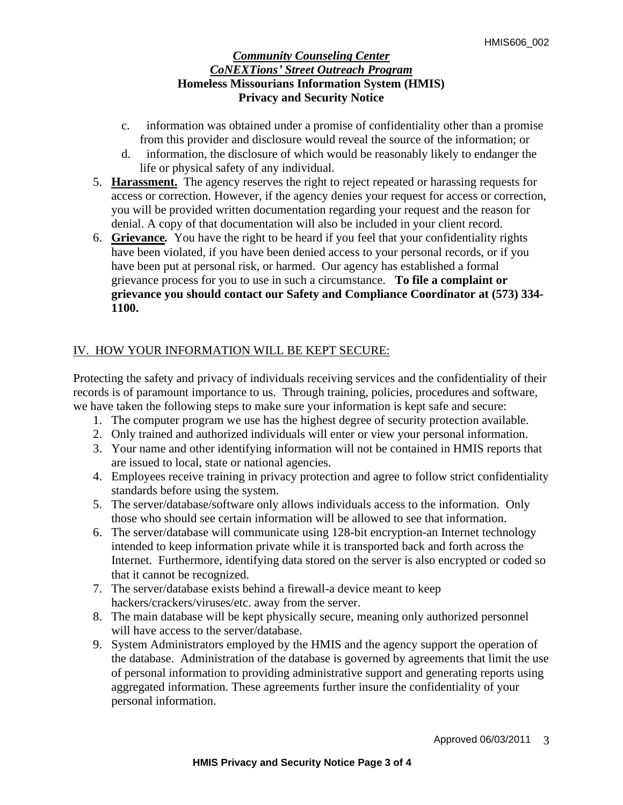- c. information was obtained under a promise of confidentiality other than a promise from this provider and disclosure would reveal the source of the information; or
- d. information, the disclosure of which would be reasonably likely to endanger the life or physical safety of any individual.
- 5. **Harassment.**The agency reserves the right to reject repeated or harassing requests for access or correction. However, if the agency denies your request for access or correction, you will be provided written documentation regarding your request and the reason for denial. A copy of that documentation will also be included in your client record.
- 6. **Grievance***.* You have the right to be heard if you feel that your confidentiality rights have been violated, if you have been denied access to your personal records, or if you have been put at personal risk, or harmed. Our agency has established a formal grievance process for you to use in such a circumstance.**To file a complaint or grievance you should contact our Safety and Compliance Coordinator at (573) 334- 1100.**

# IV. HOW YOUR INFORMATION WILL BE KEPT SECURE:

Protecting the safety and privacy of individuals receiving services and the confidentiality of their records is of paramount importance to us. Through training, policies, procedures and software, we have taken the following steps to make sure your information is kept safe and secure:

- 1. The computer program we use has the highest degree of security protection available.
- 2. Only trained and authorized individuals will enter or view your personal information.
- 3. Your name and other identifying information will not be contained in HMIS reports that are issued to local, state or national agencies.
- 4. Employees receive training in privacy protection and agree to follow strict confidentiality standards before using the system.
- 5. The server/database/software only allows individuals access to the information. Only those who should see certain information will be allowed to see that information.
- 6. The server/database will communicate using 128-bit encryption-an Internet technology intended to keep information private while it is transported back and forth across the Internet. Furthermore, identifying data stored on the server is also encrypted or coded so that it cannot be recognized.
- 7. The server/database exists behind a firewall-a device meant to keep hackers/crackers/viruses/etc. away from the server.
- 8. The main database will be kept physically secure, meaning only authorized personnel will have access to the server/database.
- 9. System Administrators employed by the HMIS and the agency support the operation of the database. Administration of the database is governed by agreements that limit the use of personal information to providing administrative support and generating reports using aggregated information. These agreements further insure the confidentiality of your personal information.